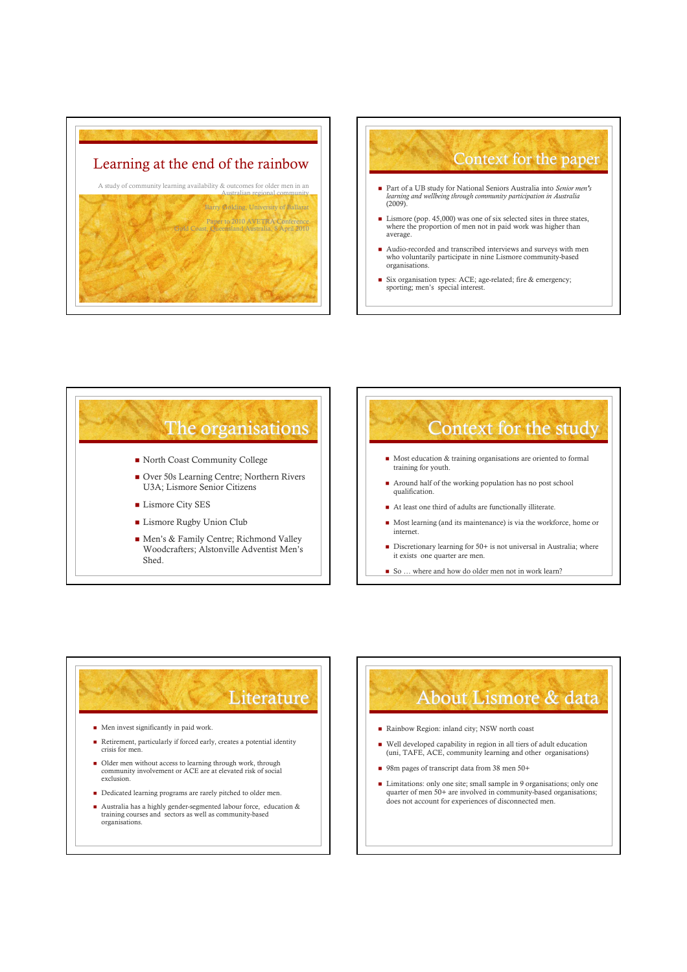





## **Literature**

- $\blacksquare$  Men invest significantly in paid work.
- Retirement, particularly if forced early, creates a potential identity crisis for men
- Older men without access to learning through work, through community involvement or ACE are at elevated risk of social exclusion.
- $\blacksquare$  Dedicated learning programs are rarely pitched to older men.
- Australia has a highly gender-segmented labour force, education & training courses and sectors as well as community-based organisations.

## About Lismore & data

- Rainbow Region: inland city; NSW north coast
- Well developed capability in region in all tiers of adult education (uni, TAFE, ACE, community learning and other organisations)
- 98m pages of transcript data from 38 men 50+
- Limitations: only one site; small sample in 9 organisations; only one quarter of men 50+ are involved in community-based organisations; does not account for experiences of disconnected men.